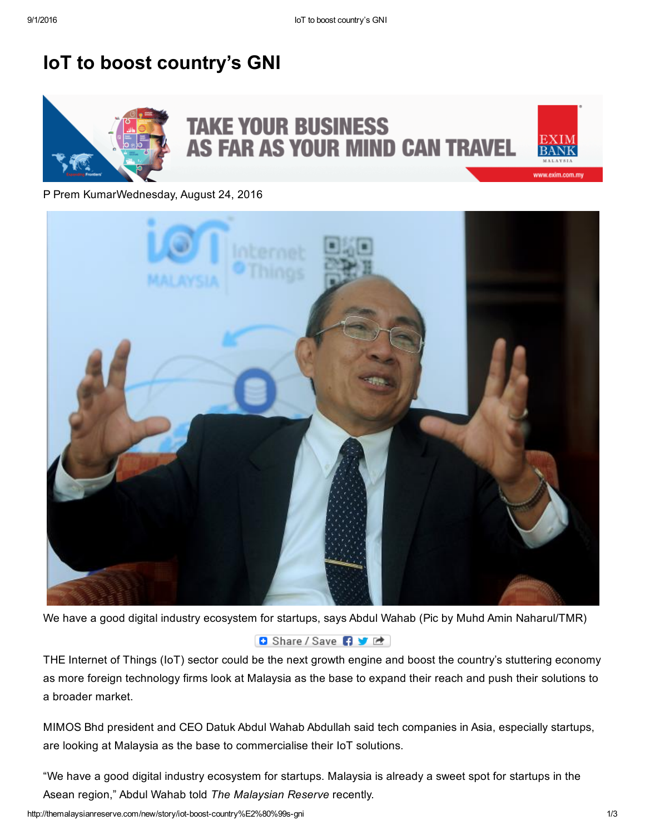## IoT to boost country's GNI



P Prem KumarWednesday, August 24, 2016



We have a good digital industry ecosystem for startups, says Abdul Wahab (Pic by Muhd Amin Naharul/TMR)

## **D** Share / Save 日 文 吐

THE Internet of Things (IoT) sector could be the next growth engine and boost the country's stuttering economy as more foreign technology firms look at Malaysia as the base to expand their reach and push their solutions to a broader market.

MIMOS Bhd president and CEO Datuk Abdul Wahab Abdullah said tech companies in Asia, especially startups, are looking at Malaysia as the base to commercialise their IoT solutions.

"We have a good digital industry ecosystem for startups. Malaysia is already a sweet spot for startups in the Asean region," Abdul Wahab told *The Malaysian Reserve* recently.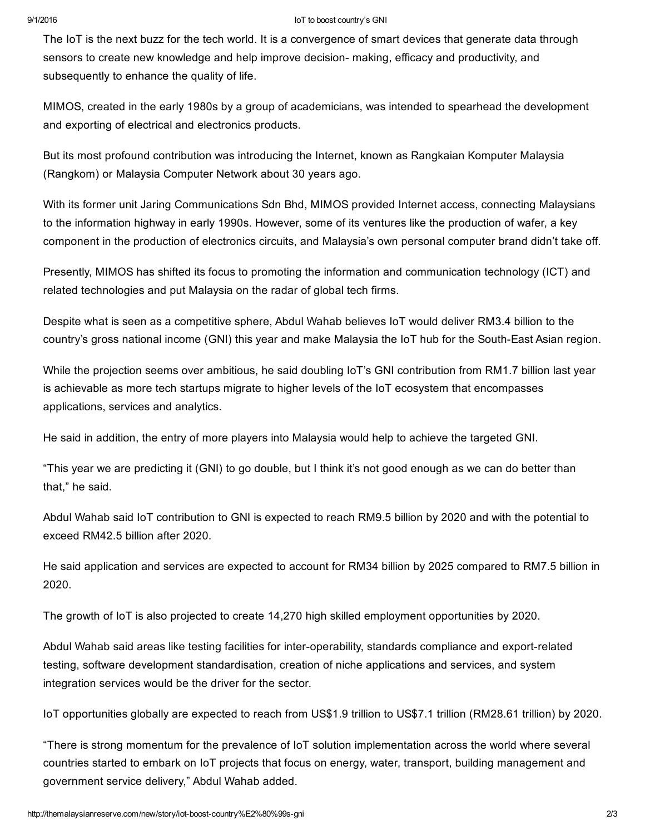## 9/1/2016 IoT to boost country's GNI

The IoT is the next buzz for the tech world. It is a convergence of smart devices that generate data through sensors to create new knowledge and help improve decision- making, efficacy and productivity, and subsequently to enhance the quality of life.

MIMOS, created in the early 1980s by a group of academicians, was intended to spearhead the development and exporting of electrical and electronics products.

But its most profound contribution was introducing the Internet, known as Rangkaian Komputer Malaysia (Rangkom) or Malaysia Computer Network about 30 years ago.

With its former unit Jaring Communications Sdn Bhd, MIMOS provided Internet access, connecting Malaysians to the information highway in early 1990s. However, some of its ventures like the production of wafer, a key component in the production of electronics circuits, and Malaysia's own personal computer brand didn't take off.

Presently, MIMOS has shifted its focus to promoting the information and communication technology (ICT) and related technologies and put Malaysia on the radar of global tech firms.

Despite what is seen as a competitive sphere, Abdul Wahab believes IoT would deliver RM3.4 billion to the country's gross national income (GNI) this year and make Malaysia the IoT hub for the South-East Asian region.

While the projection seems over ambitious, he said doubling IoT's GNI contribution from RM1.7 billion last year is achievable as more tech startups migrate to higher levels of the IoT ecosystem that encompasses applications, services and analytics.

He said in addition, the entry of more players into Malaysia would help to achieve the targeted GNI.

"This year we are predicting it (GNI) to go double, but I think it's not good enough as we can do better than that," he said.

Abdul Wahab said IoT contribution to GNI is expected to reach RM9.5 billion by 2020 and with the potential to exceed RM42.5 billion after 2020.

He said application and services are expected to account for RM34 billion by 2025 compared to RM7.5 billion in 2020.

The growth of IoT is also projected to create 14,270 high skilled employment opportunities by 2020.

Abdul Wahab said areas like testing facilities for inter-operability, standards compliance and export-related testing, software development standardisation, creation of niche applications and services, and system integration services would be the driver for the sector.

IoT opportunities globally are expected to reach from US\$1.9 trillion to US\$7.1 trillion (RM28.61 trillion) by 2020.

"There is strong momentum for the prevalence of IoT solution implementation across the world where several countries started to embark on IoT projects that focus on energy, water, transport, building management and government service delivery," Abdul Wahab added.